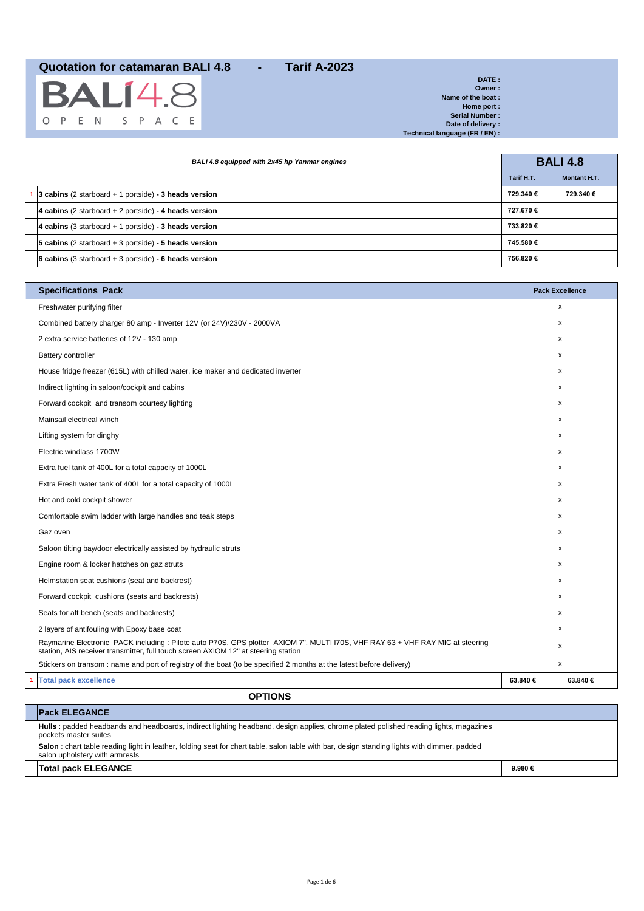|  | <b>BALI</b> 4.8   |  |  |  |
|--|-------------------|--|--|--|
|  | O P E N S P A C E |  |  |  |

| DATE:                          |
|--------------------------------|
| Owner:                         |
| Name of the boat:              |
| Home port:                     |
| <b>Serial Number:</b>          |
| Date of delivery:              |
| Technical language (FR / EN) : |

| BALI 4.8 equipped with 2x45 hp Yanmar engines |                                                         | <b>BALI 4.8</b> |                     |  |
|-----------------------------------------------|---------------------------------------------------------|-----------------|---------------------|--|
|                                               |                                                         | Tarif H.T.      | <b>Montant H.T.</b> |  |
|                                               | 3 cabins (2 starboard $+$ 1 portside) - 3 heads version | 729.340€        | 729.340€            |  |
|                                               | 4 cabins (2 starboard $+ 2$ portside) - 4 heads version | 727.670 €       |                     |  |
|                                               | 4 cabins (3 starboard $+$ 1 portside) - 3 heads version | 733.820€        |                     |  |
|                                               | 5 cabins (2 starboard $+$ 3 portside) - 5 heads version | 745.580€        |                     |  |
|                                               | 6 cabins (3 starboard + 3 portside) - 6 heads version   | 756.820€        |                     |  |

| <b>Specifications Pack</b>                                                                                                                                                                                          |         | <b>Pack Excellence</b> |
|---------------------------------------------------------------------------------------------------------------------------------------------------------------------------------------------------------------------|---------|------------------------|
| Freshwater purifying filter                                                                                                                                                                                         |         | X                      |
| Combined battery charger 80 amp - Inverter 12V (or 24V)/230V - 2000VA                                                                                                                                               |         | X                      |
| 2 extra service batteries of 12V - 130 amp                                                                                                                                                                          |         | $\mathsf{x}$           |
| <b>Battery controller</b>                                                                                                                                                                                           |         | x                      |
| House fridge freezer (615L) with chilled water, ice maker and dedicated inverter                                                                                                                                    |         | $\mathsf{x}$           |
| Indirect lighting in saloon/cockpit and cabins                                                                                                                                                                      |         | X                      |
| Forward cockpit and transom courtesy lighting                                                                                                                                                                       |         | $\mathsf{x}$           |
| Mainsail electrical winch                                                                                                                                                                                           |         | X                      |
| Lifting system for dinghy                                                                                                                                                                                           |         | x                      |
| Electric windlass 1700W                                                                                                                                                                                             |         | x                      |
| Extra fuel tank of 400L for a total capacity of 1000L                                                                                                                                                               |         | $\mathsf{x}$           |
| Extra Fresh water tank of 400L for a total capacity of 1000L                                                                                                                                                        |         | $\mathsf{x}$           |
| Hot and cold cockpit shower                                                                                                                                                                                         |         | X                      |
| Comfortable swim ladder with large handles and teak steps                                                                                                                                                           |         | x                      |
| Gaz oven                                                                                                                                                                                                            |         | $\mathsf{x}$           |
| Saloon tilting bay/door electrically assisted by hydraulic struts                                                                                                                                                   |         | X                      |
| Engine room & locker hatches on gaz struts                                                                                                                                                                          |         | X                      |
| Helmstation seat cushions (seat and backrest)                                                                                                                                                                       |         | x                      |
| Forward cockpit cushions (seats and backrests)                                                                                                                                                                      |         | $\mathsf{x}$           |
| Seats for aft bench (seats and backrests)                                                                                                                                                                           |         | $\mathsf{x}$           |
| 2 layers of antifouling with Epoxy base coat                                                                                                                                                                        |         | x                      |
| Raymarine Electronic PACK including: Pilote auto P70S, GPS plotter AXIOM 7", MULTI I70S, VHF RAY 63 + VHF RAY MIC at steering<br>station, AIS receiver transmitter, full touch screen AXIOM 12" at steering station |         | X                      |
| Stickers on transom: name and port of registry of the boat (to be specified 2 months at the latest before delivery)                                                                                                 |         | X                      |
| <b>Total pack excellence</b>                                                                                                                                                                                        | 63.840€ | 63.840€                |
| <b>OPTIONS</b>                                                                                                                                                                                                      |         |                        |

### **Pack ELEGANCE Hulls** : padded headbands and headboards, indirect lighting headband, design applies, chrome plated polished reading lights, magazines pockets master suites **Salon** : chart table reading light in leather, folding seat for chart table, salon table with bar, design standing lights with dimmer, padded salon upholstery with armrests **Total pack ELEGANCE 9.980 €**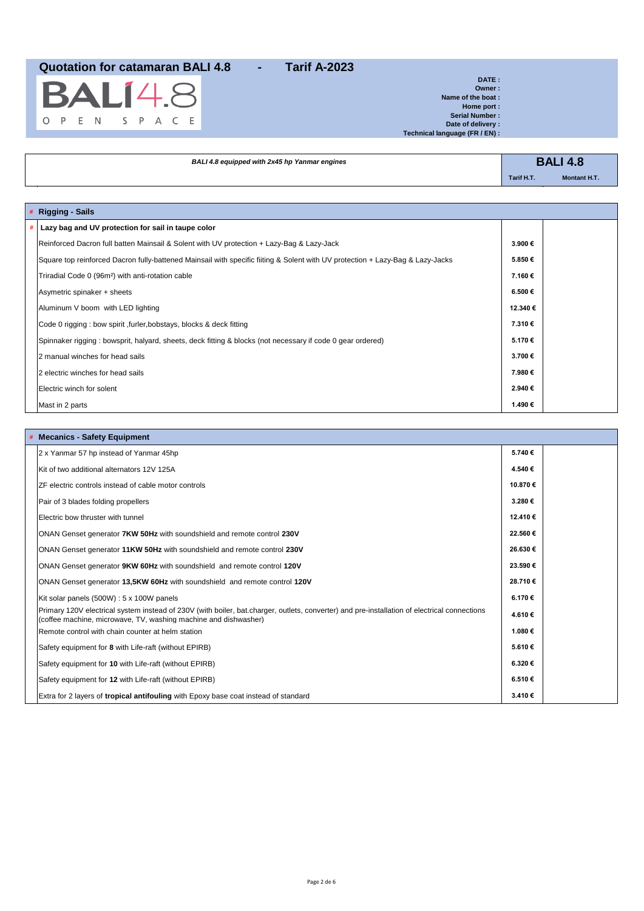

**DATE : Owner : Name of the boat : Home port : Serial Number : Date of delivery : Technical language (FR / EN) :**

÷,

| BALI 4.8 equipped with 2x45 hp Yanmar engines | <b>BALI 4.8</b> |                     |  |
|-----------------------------------------------|-----------------|---------------------|--|
|                                               | Tarif H.T.      | <b>Montant H.T.</b> |  |
|                                               |                 |                     |  |

|   | # Rigging - Sails                                                                                                              |         |  |
|---|--------------------------------------------------------------------------------------------------------------------------------|---------|--|
| # | Lazy bag and UV protection for sail in taupe color                                                                             |         |  |
|   | Reinforced Dacron full batten Mainsail & Solent with UV protection + Lazy-Bag & Lazy-Jack                                      | 3.900€  |  |
|   | Square top reinforced Dacron fully-battened Mainsail with specific fiiting & Solent with UV protection + Lazy-Bag & Lazy-Jacks | 5.850€  |  |
|   | Triradial Code 0 (96m <sup>2</sup> ) with anti-rotation cable                                                                  | 7.160€  |  |
|   | Asymetric spinaker + sheets                                                                                                    | 6.500€  |  |
|   | Aluminum V boom with LED lighting                                                                                              | 12.340€ |  |
|   | Code 0 rigging : bow spirit , furler, bobstays, blocks & deck fitting                                                          | 7.310€  |  |
|   | Spinnaker rigging : bowsprit, halyard, sheets, deck fitting & blocks (not necessary if code 0 gear ordered)                    | 5.170€  |  |
|   | 2 manual winches for head sails                                                                                                | 3.700€  |  |
|   | 2 electric winches for head sails                                                                                              | 7.980€  |  |
|   | Electric winch for solent                                                                                                      | 2.940€  |  |
|   | Mast in 2 parts                                                                                                                | 1.490€  |  |

| <b>Mecanics - Safety Equipment</b>                                                                                                                                                                              |         |
|-----------------------------------------------------------------------------------------------------------------------------------------------------------------------------------------------------------------|---------|
| 2 x Yanmar 57 hp instead of Yanmar 45hp                                                                                                                                                                         | 5.740€  |
| Kit of two additional alternators 12V 125A                                                                                                                                                                      | 4.540€  |
| ZF electric controls instead of cable motor controls                                                                                                                                                            | 10.870€ |
| Pair of 3 blades folding propellers                                                                                                                                                                             | 3.280€  |
| Electric bow thruster with tunnel                                                                                                                                                                               | 12.410€ |
| ONAN Genset generator 7KW 50Hz with soundshield and remote control 230V                                                                                                                                         | 22.560€ |
| ONAN Genset generator 11KW 50Hz with soundshield and remote control 230V                                                                                                                                        | 26.630€ |
| ONAN Genset generator 9KW 60Hz with soundshield and remote control 120V                                                                                                                                         | 23.590€ |
| ONAN Genset generator 13,5KW 60Hz with soundshield and remote control 120V                                                                                                                                      | 28.710€ |
| Kit solar panels (500W) : 5 x 100W panels                                                                                                                                                                       | 6.170€  |
| Primary 120V electrical system instead of 230V (with boiler, bat.charger, outlets, converter) and pre-installation of electrical connections<br>(coffee machine, microwave, TV, washing machine and dishwasher) | 4.610€  |
| Remote control with chain counter at helm station                                                                                                                                                               | 1.080€  |
| Safety equipment for 8 with Life-raft (without EPIRB)                                                                                                                                                           | 5.610€  |
| Safety equipment for 10 with Life-raft (without EPIRB)                                                                                                                                                          | 6.320€  |
| Safety equipment for 12 with Life-raft (without EPIRB)                                                                                                                                                          | 6.510€  |
| Extra for 2 layers of tropical antifouling with Epoxy base coat instead of standard                                                                                                                             | 3.410€  |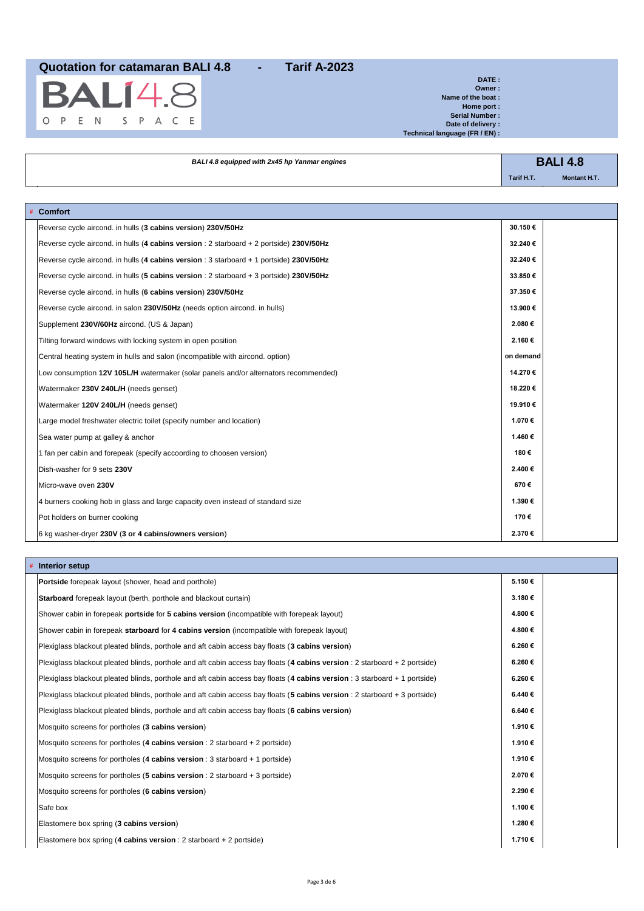

**DATE : Owner : Name of the boat : Home port : Serial Number : Date of delivery : Technical language (FR / EN) :**

| BALI 4.8 equipped with 2x45 hp Yanmar engines |            | <b>BALI 4.8</b>     |  |
|-----------------------------------------------|------------|---------------------|--|
|                                               | Tarif H.T. | <b>Montant H.T.</b> |  |

| # Comfort                                                                               |           |
|-----------------------------------------------------------------------------------------|-----------|
| Reverse cycle aircond. in hulls (3 cabins version) 230V/50Hz                            | 30.150€   |
| Reverse cycle aircond. in hulls (4 cabins version : 2 starboard + 2 portside) 230V/50Hz | 32.240€   |
| Reverse cycle aircond. in hulls (4 cabins version : 3 starboard + 1 portside) 230V/50Hz | 32.240€   |
| Reverse cycle aircond. in hulls (5 cabins version : 2 starboard + 3 portside) 230V/50Hz | 33.850€   |
| Reverse cycle aircond. in hulls (6 cabins version) 230V/50Hz                            | 37.350€   |
| Reverse cycle aircond. in salon 230V/50Hz (needs option aircond. in hulls)              | 13.900€   |
| Supplement 230V/60Hz aircond. (US & Japan)                                              | 2.080€    |
| Tilting forward windows with locking system in open position                            | 2.160€    |
| Central heating system in hulls and salon (incompatible with aircond. option)           | on demand |
| Low consumption 12V 105L/H watermaker (solar panels and/or alternators recommended)     | 14.270€   |
| Watermaker 230V 240L/H (needs genset)                                                   | 18.220€   |
| Watermaker 120V 240L/H (needs genset)                                                   | 19.910€   |
| Large model freshwater electric toilet (specify number and location)                    | 1.070€    |
| Sea water pump at galley & anchor                                                       | 1.460 €   |
| 1 fan per cabin and forepeak (specify accoording to choosen version)                    | 180€      |
| Dish-washer for 9 sets 230V                                                             | 2.400€    |
| Micro-wave oven 230V                                                                    | 670€      |
| 4 burners cooking hob in glass and large capacity oven instead of standard size         | 1.390€    |
| Pot holders on burner cooking                                                           | 170€      |
| 6 kg washer-dryer 230V (3 or 4 cabins/owners version)                                   | 2.370€    |

| Interior setup                                                                                                             |        |
|----------------------------------------------------------------------------------------------------------------------------|--------|
| <b>Portside</b> forepeak layout (shower, head and porthole)                                                                | 5.150€ |
| <b>Starboard</b> forepeak layout (berth, porthole and blackout curtain)                                                    | 3.180€ |
| Shower cabin in forepeak portside for 5 cabins version (incompatible with forepeak layout)                                 | 4.800€ |
| Shower cabin in forepeak starboard for 4 cabins version (incompatible with forepeak layout)                                | 4.800€ |
| Plexiglass blackout pleated blinds, porthole and aft cabin access bay floats (3 cabins version)                            | 6.260€ |
| Plexiglass blackout pleated blinds, porthole and aft cabin access bay floats (4 cabins version : 2 starboard + 2 portside) | 6.260€ |
| Plexiglass blackout pleated blinds, porthole and aft cabin access bay floats (4 cabins version : 3 starboard + 1 portside) | 6.260€ |
| Plexiglass blackout pleated blinds, porthole and aft cabin access bay floats (5 cabins version : 2 starboard + 3 portside) | 6.440€ |
| Plexiglass blackout pleated blinds, porthole and aft cabin access bay floats (6 cabins version)                            | 6.640€ |
| Mosquito screens for portholes (3 cabins version)                                                                          | 1.910€ |
| Mosquito screens for portholes (4 cabins version : 2 starboard + 2 portside)                                               | 1.910€ |
| Mosquito screens for portholes (4 cabins version : 3 starboard + 1 portside)                                               | 1.910€ |
| Mosquito screens for portholes (5 cabins version : 2 starboard + 3 portside)                                               | 2.070€ |
| Mosquito screens for portholes (6 cabins version)                                                                          | 2.290€ |
| Safe box                                                                                                                   | 1.100€ |
| Elastomere box spring (3 cabins version)                                                                                   | 1.280€ |
| Elastomere box spring (4 cabins version : 2 starboard + 2 portside)                                                        | 1.710€ |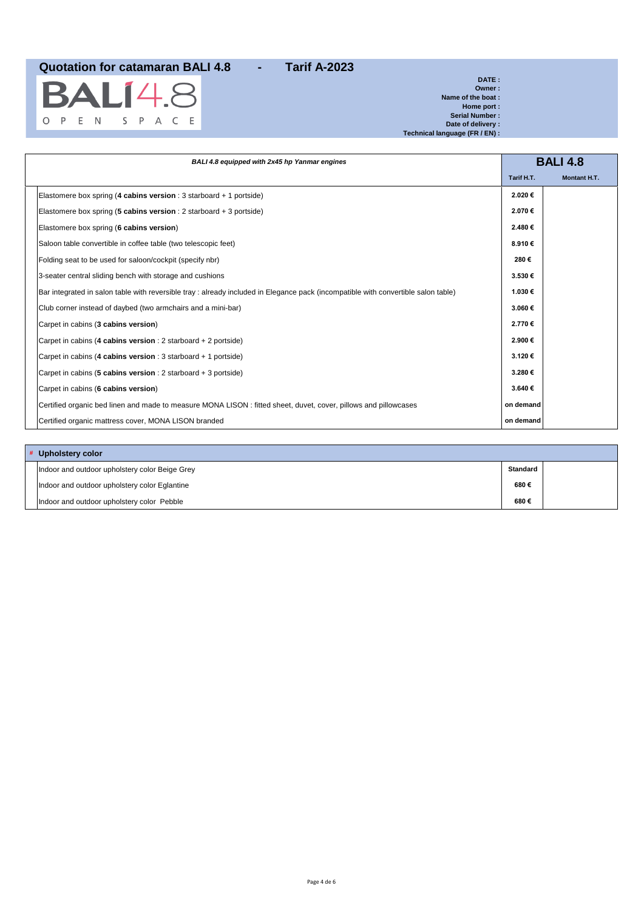BA  $14.8$  $\mathsf S$ O P E N S P A C E

**DATE : Owner : Name of the boat : Home port : Serial Number : Date of delivery : Technical language (FR / EN) :**

| BALI 4.8 equipped with 2x45 hp Yanmar engines |                                                                                                                                   |            | <b>BALI 4.8</b>     |
|-----------------------------------------------|-----------------------------------------------------------------------------------------------------------------------------------|------------|---------------------|
|                                               |                                                                                                                                   | Tarif H.T. | <b>Montant H.T.</b> |
|                                               | Elastomere box spring (4 cabins version : 3 starboard + 1 portside)                                                               | 2.020€     |                     |
|                                               | Elastomere box spring (5 cabins version : 2 starboard + 3 portside)                                                               | 2.070€     |                     |
|                                               | Elastomere box spring (6 cabins version)                                                                                          | 2.480€     |                     |
|                                               | Saloon table convertible in coffee table (two telescopic feet)                                                                    | 8.910€     |                     |
|                                               | Folding seat to be used for saloon/cockpit (specify nbr)                                                                          | 280€       |                     |
|                                               | 3-seater central sliding bench with storage and cushions                                                                          | 3.530€     |                     |
|                                               | Bar integrated in salon table with reversible tray: already included in Elegance pack (incompatible with convertible salon table) | 1.030€     |                     |
|                                               | Club corner instead of daybed (two armchairs and a mini-bar)                                                                      | 3.060€     |                     |
|                                               | Carpet in cabins (3 cabins version)                                                                                               | 2.770€     |                     |
|                                               | Carpet in cabins (4 cabins version : 2 starboard + 2 portside)                                                                    | 2.900€     |                     |
|                                               | Carpet in cabins (4 cabins version : 3 starboard + 1 portside)                                                                    | 3.120€     |                     |
|                                               | Carpet in cabins (5 cabins version : 2 starboard + 3 portside)                                                                    | 3.280€     |                     |
|                                               | Carpet in cabins (6 cabins version)                                                                                               | 3.640€     |                     |
|                                               | Certified organic bed linen and made to measure MONA LISON : fitted sheet, duvet, cover, pillows and pillowcases                  | on demand  |                     |
|                                               | Certified organic mattress cover, MONA LISON branded                                                                              | on demand  |                     |

| # Upholstery color                             |                 |  |
|------------------------------------------------|-----------------|--|
| Indoor and outdoor upholstery color Beige Grey | <b>Standard</b> |  |
| Indoor and outdoor upholstery color Eglantine  | 680€            |  |
| Indoor and outdoor upholstery color Pebble     | 680€            |  |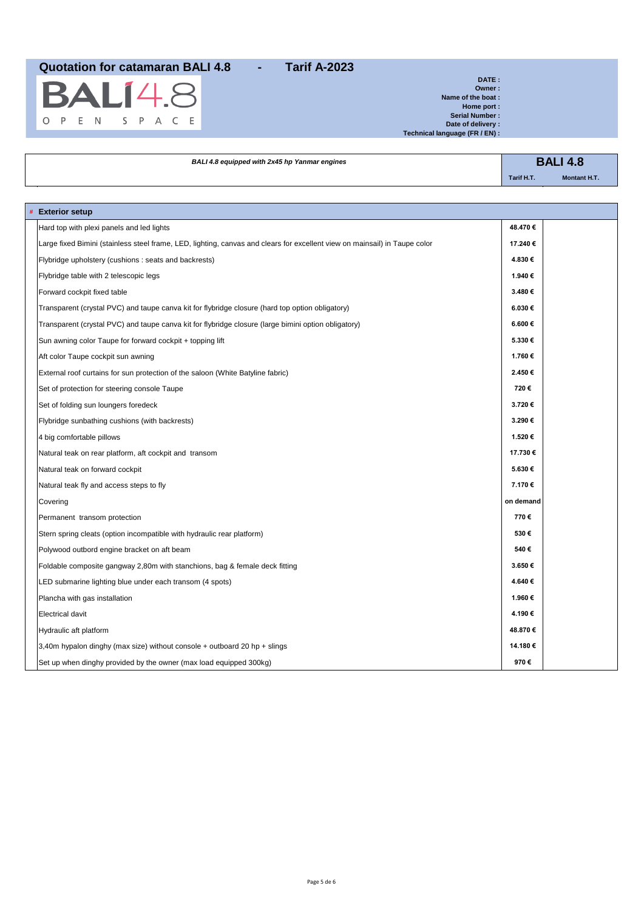

**# Exterior setup**

**DATE : Owner : Name of the boat : Home port : Serial Number : Date of delivery : Technical language (FR / EN) :**

**BALI 4.8** *BALI 4.8 equipped with 2x45 hp Yanmar engines* **Tarif H.T. Montant H.T.** Ĩ.

| <b>Exterior setup</b>                                                                                                      |           |  |
|----------------------------------------------------------------------------------------------------------------------------|-----------|--|
| Hard top with plexi panels and led lights                                                                                  | 48.470€   |  |
| Large fixed Bimini (stainless steel frame, LED, lighting, canvas and clears for excellent view on mainsail) in Taupe color | 17.240€   |  |
| Flybridge upholstery (cushions: seats and backrests)                                                                       | 4.830€    |  |
| Flybridge table with 2 telescopic legs                                                                                     | 1.940 €   |  |
| Forward cockpit fixed table                                                                                                | 3.480€    |  |
| Transparent (crystal PVC) and taupe canva kit for flybridge closure (hard top option obligatory)                           | 6.030€    |  |
| Transparent (crystal PVC) and taupe canva kit for flybridge closure (large bimini option obligatory)                       | 6.600€    |  |
| Sun awning color Taupe for forward cockpit + topping lift                                                                  | 5.330€    |  |
| Aft color Taupe cockpit sun awning                                                                                         | 1.760€    |  |
| External roof curtains for sun protection of the saloon (White Batyline fabric)                                            | 2.450€    |  |
| Set of protection for steering console Taupe                                                                               | 720€      |  |
| Set of folding sun loungers foredeck                                                                                       | 3.720€    |  |
| Flybridge sunbathing cushions (with backrests)                                                                             | 3.290€    |  |
| 4 big comfortable pillows                                                                                                  | 1.520€    |  |
| Natural teak on rear platform, aft cockpit and transom                                                                     | 17.730€   |  |
| Natural teak on forward cockpit                                                                                            | 5.630€    |  |
| Natural teak fly and access steps to fly                                                                                   | 7.170€    |  |
| Covering                                                                                                                   | on demand |  |
| Permanent transom protection                                                                                               | 770€      |  |
| Stern spring cleats (option incompatible with hydraulic rear platform)                                                     | 530€      |  |
| Polywood outbord engine bracket on aft beam                                                                                | 540€      |  |
| Foldable composite gangway 2,80m with stanchions, bag & female deck fitting                                                | 3.650€    |  |
| LED submarine lighting blue under each transom (4 spots)                                                                   | 4.640€    |  |
| Plancha with gas installation                                                                                              | 1.960€    |  |
| <b>Electrical davit</b>                                                                                                    | 4.190€    |  |
| Hydraulic aft platform                                                                                                     | 48.870€   |  |
| 3,40m hypalon dinghy (max size) without console $+$ outboard 20 hp $+$ slings                                              | 14.180€   |  |
| Set up when dinghy provided by the owner (max load equipped 300kg)                                                         | 970€      |  |